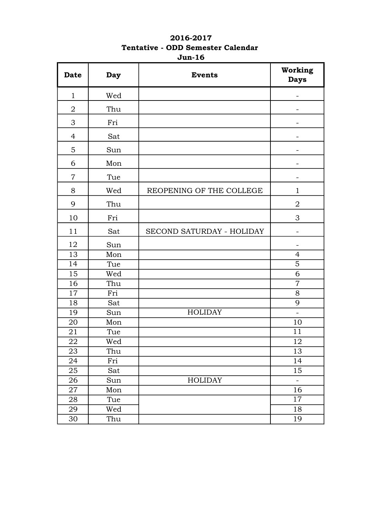## 2016-2017 Tentative - ODD Semester Calendar Jun-16

| <b>Date</b>    | Day | <b>Events</b>             | Working<br><b>Days</b>   |
|----------------|-----|---------------------------|--------------------------|
| $\mathbf{1}$   | Wed |                           |                          |
| $\overline{2}$ | Thu |                           |                          |
| 3              | Fri |                           |                          |
| 4              | Sat |                           | ÷                        |
| 5              | Sun |                           |                          |
| 6              | Mon |                           |                          |
| 7              | Tue |                           |                          |
| 8              | Wed | REOPENING OF THE COLLEGE  | $\mathbf{1}$             |
| 9              | Thu |                           | $\overline{2}$           |
| 10             | Fri |                           | 3                        |
| 11             | Sat | SECOND SATURDAY - HOLIDAY | $\overline{\phantom{0}}$ |
| 12             | Sun |                           |                          |
| 13             | Mon |                           | $\overline{4}$           |
| 14             | Tue |                           | $\overline{5}$           |
| 15             | Wed |                           | 6                        |
| 16             | Thu |                           | $\overline{7}$           |
| 17             | Fri |                           | 8                        |
| 18             | Sat |                           | 9                        |
| 19             | Sun | <b>HOLIDAY</b>            | $\equiv$                 |
| 20             | Mon |                           | 10                       |
| 21             | Tue |                           | 11                       |
| 22             | Wed |                           | 12                       |
| 23             | Thu |                           | 13                       |
| 24             | Fri |                           | 14                       |
| 25             | Sat |                           | 15                       |
| 26             | Sun | <b>HOLIDAY</b>            |                          |
| 27             | Mon |                           | 16                       |
| 28             | Tue |                           | 17                       |
| 29             | Wed |                           | 18                       |
| 30             | Thu |                           | 19                       |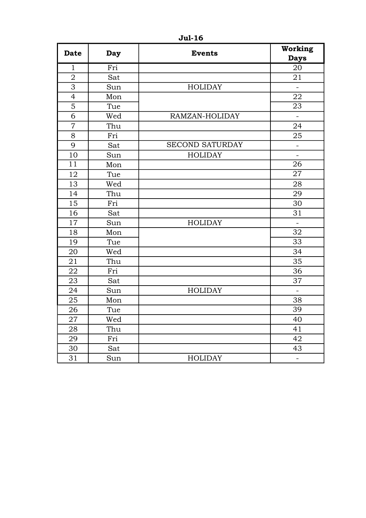| <b>Date</b>      | <b>Day</b> | <b>Events</b>          | Working<br><b>Days</b>       |
|------------------|------------|------------------------|------------------------------|
| $\mathbf{1}$     | Fri        |                        | $\overline{20}$              |
| $\overline{2}$   | Sat        |                        | 21                           |
| $\overline{3}$   | Sun        | <b>HOLIDAY</b>         | $\qquad \qquad \blacksquare$ |
| $\overline{4}$   | Mon        |                        | 22                           |
| $\overline{5}$   | Tue        |                        | 23                           |
| 6                | Wed        | RAMZAN-HOLIDAY         |                              |
| $\boldsymbol{7}$ | Thu        |                        | 24                           |
| 8                | Fri        |                        | 25                           |
| 9                | Sat        | <b>SECOND SATURDAY</b> |                              |
| 10               | Sun        | <b>HOLIDAY</b>         | $\equiv$                     |
| 11               | Mon        |                        | 26                           |
| 12               | Tue        |                        | $\overline{27}$              |
| 13               | Wed        |                        | 28                           |
| 14               | Thu        |                        | 29                           |
| 15               | Fri        |                        | 30                           |
| 16               | Sat        |                        | 31                           |
| 17               | Sun        | <b>HOLIDAY</b>         |                              |
| 18               | Mon        |                        | 32                           |
| 19               | Tue        |                        | 33                           |
| 20               | Wed        |                        | 34                           |
| 21               | Thu        |                        | 35                           |
| 22               | Fri        |                        | 36                           |
| 23               | Sat        |                        | 37                           |
| 24               | Sun        | <b>HOLIDAY</b>         | $\equiv$                     |
| 25               | Mon        |                        | 38                           |
| 26               | Tue        |                        | 39                           |
| 27               | Wed        |                        | 40                           |
| 28               | Thu        |                        | 41                           |
| 29               | Fri        |                        | 42                           |
| 30               | Sat        |                        | 43                           |
| 31               | Sun        | <b>HOLIDAY</b>         | $\frac{1}{2}$                |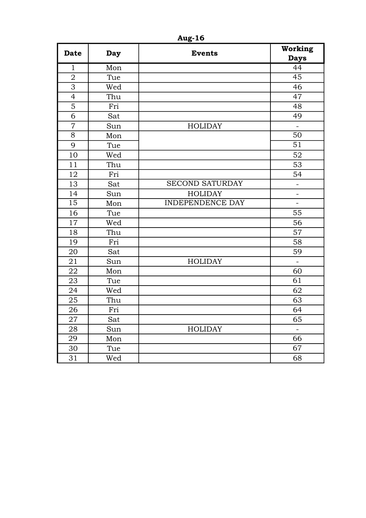| <b>Date</b>    | <b>Day</b> | <b>Events</b>           | Working<br><b>Days</b>   |
|----------------|------------|-------------------------|--------------------------|
| $\mathbf{1}$   | Mon        |                         | 44                       |
| $\overline{2}$ | Tue        |                         | 45                       |
| $\overline{3}$ | Wed        |                         | 46                       |
| $\overline{4}$ | Thu        |                         | 47                       |
| 5              | Fri        |                         | 48                       |
| 6              | Sat        |                         | 49                       |
| $\overline{7}$ | Sun        | <b>HOLIDAY</b>          |                          |
| 8              | Mon        |                         | 50                       |
| 9              | Tue        |                         | $\overline{51}$          |
| 10             | Wed        |                         | 52                       |
| 11             | Thu        |                         | 53                       |
| 12             | Fri        |                         | 54                       |
| 13             | Sat        | <b>SECOND SATURDAY</b>  |                          |
| 14             | Sun        | <b>HOLIDAY</b>          | $\overline{\phantom{0}}$ |
| 15             | Mon        | <b>INDEPENDENCE DAY</b> | $\blacksquare$           |
| 16             | Tue        |                         | 55                       |
| 17             | Wed        |                         | 56                       |
| 18             | Thu        |                         | 57                       |
| 19             | Fri        |                         | 58                       |
| 20             | Sat        |                         | 59                       |
| 21             | Sun        | <b>HOLIDAY</b>          |                          |
| 22             | Mon        |                         | 60                       |
| 23             | Tue        |                         | $\overline{61}$          |
| 24             | Wed        |                         | 62                       |
| 25             | Thu        |                         | 63                       |
| 26             | Fri        |                         | 64                       |
| 27             | Sat        |                         | 65                       |
| 28             | Sun        | <b>HOLIDAY</b>          |                          |
| 29             | Mon        |                         | 66                       |
| 30             | Tue        |                         | 67                       |
| 31             | Wed        |                         | 68                       |

Aug-16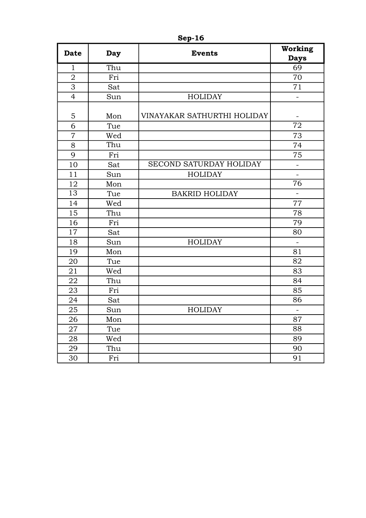| <b>Date</b>    | Day | <b>Events</b>               | Working<br><b>Days</b> |
|----------------|-----|-----------------------------|------------------------|
| $\mathbf{1}$   | Thu |                             | 69                     |
| $\overline{2}$ | Fri |                             | 70                     |
| $\overline{3}$ | Sat |                             | 71                     |
| $\overline{4}$ | Sun | <b>HOLIDAY</b>              |                        |
| 5              | Mon | VINAYAKAR SATHURTHI HOLIDAY | $\blacksquare$         |
| 6              | Tue |                             | 72                     |
| $\overline{7}$ | Wed |                             | 73                     |
| 8              | Thu |                             | 74                     |
| 9              | Fri |                             | 75                     |
| 10             | Sat | SECOND SATURDAY HOLIDAY     |                        |
| 11             | Sun | <b>HOLIDAY</b>              | $\equiv$               |
| 12             | Mon |                             | 76                     |
| 13             | Tue | <b>BAKRID HOLIDAY</b>       | ÷.                     |
| 14             | Wed |                             | 77                     |
| 15             | Thu |                             | 78                     |
| 16             | Fri |                             | 79                     |
| 17             | Sat |                             | 80                     |
| 18             | Sun | <b>HOLIDAY</b>              | $\overline{a}$         |
| 19             | Mon |                             | 81                     |
| 20             | Tue |                             | 82                     |
| 21             | Wed |                             | 83                     |
| 22             | Thu |                             | 84                     |
| 23             | Fri |                             | 85                     |
| 24             | Sat |                             | 86                     |
| 25             | Sun | <b>HOLIDAY</b>              |                        |
| 26             | Mon |                             | 87                     |
| 27             | Tue |                             | 88                     |
| 28             | Wed |                             | 89                     |
| 29             | Thu |                             | 90                     |
| 30             | Fri |                             | 91                     |

Sep-16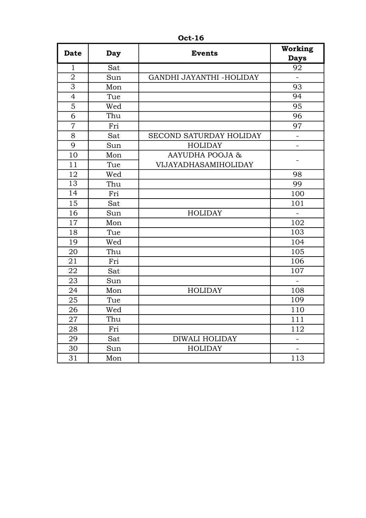| <b>Date</b>    | <b>Day</b> | <b>Events</b>            | Working<br><b>Days</b>   |
|----------------|------------|--------------------------|--------------------------|
| $\mathbf{1}$   | Sat        |                          | 92                       |
| $\overline{2}$ | Sun        | GANDHI JAYANTHI -HOLIDAY | $\blacksquare$           |
| $\overline{3}$ | Mon        |                          | 93                       |
| $\overline{4}$ | Tue        |                          | 94                       |
| 5              | Wed        |                          | 95                       |
| $\overline{6}$ | Thu        |                          | 96                       |
| $\overline{7}$ | Fri        |                          | 97                       |
| 8              | Sat        | SECOND SATURDAY HOLIDAY  | ÷,                       |
| 9              | Sun        | <b>HOLIDAY</b>           | ÷,                       |
| 10             | Mon        | AAYUDHA POOJA &          |                          |
| 11             | Tue        | VIJAYADHASAMIHOLIDAY     |                          |
| 12             | Wed        |                          | 98                       |
| 13             | Thu        |                          | 99                       |
| 14             | Fri        |                          | 100                      |
| 15             | Sat        |                          | 101                      |
| 16             | Sun        | <b>HOLIDAY</b>           |                          |
| 17             | Mon        |                          | 102                      |
| 18             | Tue        |                          | 103                      |
| 19             | Wed        |                          | 104                      |
| 20             | Thu        |                          | 105                      |
| 21             | Fri        |                          | 106                      |
| 22             | Sat        |                          | 107                      |
| 23             | Sun        |                          | $\overline{\phantom{a}}$ |
| 24             | Mon        | <b>HOLIDAY</b>           | 108                      |
| 25             | Tue        |                          | 109                      |
| 26             | Wed        |                          | 110                      |
| 27             | Thu        |                          | 111                      |
| 28             | Fri        |                          | 112                      |
| 29             | Sat        | DIWALI HOLIDAY           |                          |
| 30             | Sun        | <b>HOLIDAY</b>           |                          |
| 31             | Mon        |                          | 113                      |

Oct-16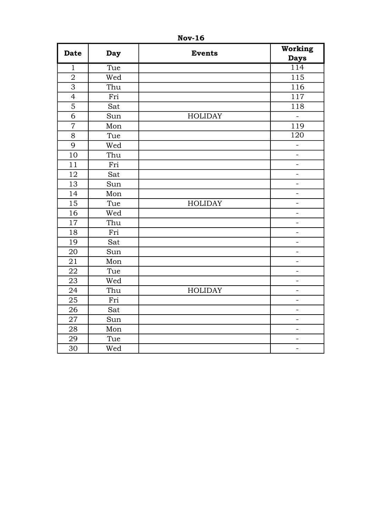| <b>Date</b>    | <b>Day</b> | <b>Events</b>  | Working<br><b>Days</b>   |
|----------------|------------|----------------|--------------------------|
| $\mathbf{1}$   | Tue        |                | $\overline{114}$         |
| $\sqrt{2}$     | Wed        |                | 115                      |
| $\overline{3}$ | Thu        |                | 116                      |
| $\overline{4}$ | Fri        |                | 117                      |
| $\overline{5}$ | Sat        |                | 118                      |
| 6              | Sun        | <b>HOLIDAY</b> | $\frac{1}{\sqrt{2}}$     |
| $\overline{7}$ | Mon        |                | 119                      |
| 8              | Tue        |                | 120                      |
| 9              | Wed        |                | ÷,                       |
| 10             | Thu        |                | $\overline{\phantom{0}}$ |
| 11             | Fri        |                | -                        |
| 12             | Sat        |                | L,                       |
| 13             | Sun        |                | -                        |
| 14             | Mon        |                | -                        |
| 15             | Tue        | <b>HOLIDAY</b> | $\overline{a}$           |
| 16             | Wed        |                | $\overline{a}$           |
| 17             | Thu        |                | -                        |
| 18             | Fri        |                | ÷,                       |
| 19             | Sat        |                | -                        |
| 20             | Sun        |                | $\equiv$                 |
| 21             | Mon        |                | ÷,                       |
| 22             | Tue        |                | ÷,                       |
| 23             | Wed        |                | ÷,                       |
| 24             | Thu        | <b>HOLIDAY</b> | $\overline{a}$           |
| 25             | Fri        |                | ÷,                       |
| 26             | Sat        |                | $\equiv$                 |
| 27             | Sun        |                | ÷,                       |
| 28             | Mon        |                | ÷,                       |
| 29             | Tue        |                | $\blacksquare$           |
| 30             | Wed        |                | $\overline{\phantom{0}}$ |

Nov-16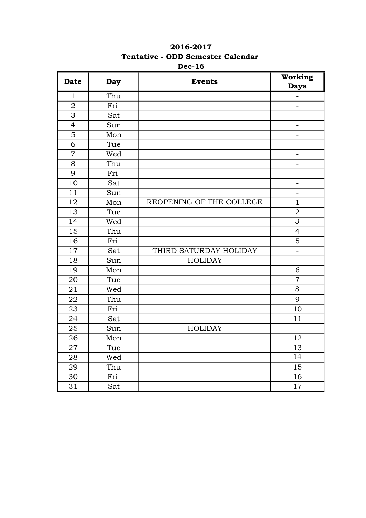| <b>Date</b>    | <b>Day</b> | <b>Events</b>            | Working<br><b>Days</b>       |
|----------------|------------|--------------------------|------------------------------|
| $\mathbf{1}$   | Thu        |                          | $\overline{\phantom{0}}$     |
| $\overline{2}$ | Fri        |                          |                              |
| 3              | Sat        |                          | $\qquad \qquad \blacksquare$ |
| $\overline{4}$ | Sun        |                          | -                            |
| 5              | Mon        |                          | $\blacksquare$               |
| 6              | Tue        |                          |                              |
| $\overline{7}$ | Wed        |                          | $\overline{\phantom{0}}$     |
| 8              | Thu        |                          | $\blacksquare$               |
| 9              | Fri        |                          | $\equiv$                     |
| 10             | Sat        |                          | $\qquad \qquad \blacksquare$ |
| 11             | Sun        |                          | $\blacksquare$               |
| 12             | Mon        | REOPENING OF THE COLLEGE | $\mathbf{1}$                 |
| 13             | Tue        |                          | $\overline{2}$               |
| 14             | Wed        |                          | $\overline{3}$               |
| 15             | Thu        |                          | $\overline{4}$               |
| 16             | Fri        |                          | 5                            |
| 17             | Sat        | THIRD SATURDAY HOLIDAY   | $\blacksquare$               |
| 18             | Sun        | <b>HOLIDAY</b>           | $\overline{a}$               |
| 19             | Mon        |                          | 6                            |
| 20             | Tue        |                          | $\overline{7}$               |
| 21             | Wed        |                          | $\overline{8}$               |
| 22             | Thu        |                          | 9                            |
| 23             | Fri        |                          | 10                           |
| 24             | Sat        |                          | 11                           |
| 25             | Sun        | <b>HOLIDAY</b>           | $\overline{a}$               |
| 26             | Mon        |                          | 12                           |
| 27             | Tue        |                          | 13                           |
| 28             | Wed        |                          | $\overline{14}$              |
| 29             | Thu        |                          | $\overline{15}$              |
| 30             | Fri        |                          | 16                           |
| 31             | Sat        |                          | 17                           |

## 2016-2017 Tentative - ODD Semester Calendar Dec-16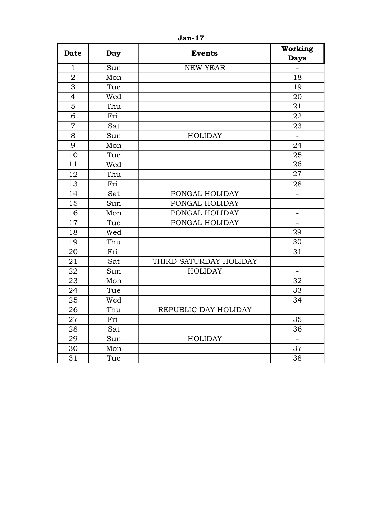| <b>Date</b>    | Day | <b>Events</b>          | Working<br><b>Days</b>   |
|----------------|-----|------------------------|--------------------------|
| $\mathbf{1}$   | Sun | <b>NEW YEAR</b>        |                          |
| $\overline{2}$ | Mon |                        | 18                       |
| $\overline{3}$ | Tue |                        | 19                       |
| $\overline{4}$ | Wed |                        | 20                       |
| 5              | Thu |                        | 21                       |
| 6              | Fri |                        | 22                       |
| $\overline{7}$ | Sat |                        | 23                       |
| 8              | Sun | <b>HOLIDAY</b>         |                          |
| 9              | Mon |                        | 24                       |
| 10             | Tue |                        | 25                       |
| 11             | Wed |                        | 26                       |
| 12             | Thu |                        | 27                       |
| 13             | Fri |                        | 28                       |
| 14             | Sat | PONGAL HOLIDAY         | -                        |
| 15             | Sun | PONGAL HOLIDAY         | ÷.                       |
| 16             | Mon | PONGAL HOLIDAY         |                          |
| 17             | Tue | PONGAL HOLIDAY         | $\overline{\phantom{0}}$ |
| 18             | Wed |                        | 29                       |
| 19             | Thu |                        | 30                       |
| 20             | Fri |                        | 31                       |
| 21             | Sat | THIRD SATURDAY HOLIDAY |                          |
| 22             | Sun | <b>HOLIDAY</b>         | $\overline{a}$           |
| 23             | Mon |                        | 32                       |
| 24             | Tue |                        | 33                       |
| 25             | Wed |                        | 34                       |
| 26             | Thu | REPUBLIC DAY HOLIDAY   | L,                       |
| 27             | Fri |                        | 35                       |
| 28             | Sat |                        | 36                       |
| 29             | Sun | <b>HOLIDAY</b>         |                          |
| 30             | Mon |                        | 37                       |
| 31             | Tue |                        | 38                       |

Jan-17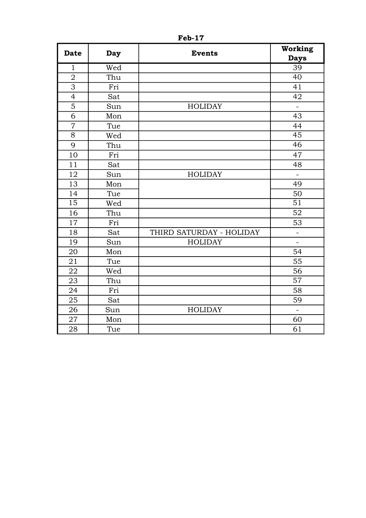| <b>Date</b>    | Day | <b>Events</b>            | Working<br><b>Days</b> |
|----------------|-----|--------------------------|------------------------|
| $\mathbf{1}$   | Wed |                          | 39                     |
| $\overline{2}$ | Thu |                          | 40                     |
| 3              | Fri |                          | 41                     |
| $\overline{4}$ | Sat |                          | 42                     |
| 5              | Sun | <b>HOLIDAY</b>           | $\frac{1}{2}$          |
| 6              | Mon |                          | 43                     |
| $\overline{7}$ | Tue |                          | 44                     |
| 8              | Wed |                          | $\overline{45}$        |
| 9              | Thu |                          | 46                     |
| 10             | Fri |                          | 47                     |
| 11             | Sat |                          | 48                     |
| 12             | Sun | <b>HOLIDAY</b>           | ÷,                     |
| 13             | Mon |                          | 49                     |
| 14             | Tue |                          | 50                     |
| 15             | Wed |                          | 51                     |
| 16             | Thu |                          | $\overline{52}$        |
| 17             | Fri |                          | 53                     |
| 18             | Sat | THIRD SATURDAY - HOLIDAY |                        |
| 19             | Sun | <b>HOLIDAY</b>           |                        |
| 20             | Mon |                          | 54                     |
| 21             | Tue |                          | 55                     |
| 22             | Wed |                          | 56                     |
| 23             | Thu |                          | $\overline{57}$        |
| 24             | Fri |                          | 58                     |
| 25             | Sat |                          | 59                     |
| 26             | Sun | <b>HOLIDAY</b>           |                        |
| 27             | Mon |                          | 60                     |
| 28             | Tue |                          | 61                     |

Feb-17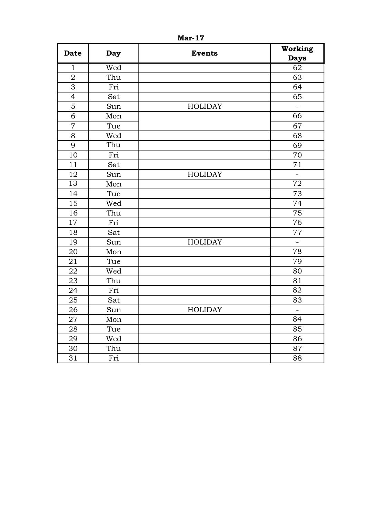| <b>Date</b>     | <b>Day</b> | <b>Events</b>  | Working<br><b>Days</b> |
|-----------------|------------|----------------|------------------------|
| $\mathbf{1}$    | Wed        |                | $\overline{62}$        |
| $\overline{2}$  | Thu        |                | 63                     |
| $\overline{3}$  | Fri        |                | 64                     |
| $\overline{4}$  | Sat        |                | 65                     |
| 5               | Sun        | <b>HOLIDAY</b> | $\overline{a}$         |
| 6               | Mon        |                | $\overline{66}$        |
| $\overline{7}$  | Tue        |                | 67                     |
| 8               | Wed        |                | 68                     |
| 9               | Thu        |                | 69                     |
| 10              | Fri        |                | 70                     |
| 11              | Sat        |                | 71                     |
| 12              | Sun        | <b>HOLIDAY</b> | L,                     |
| $\overline{13}$ | Mon        |                | $\overline{72}$        |
| 14              | Tue        |                | 73                     |
| 15              | Wed        |                | 74                     |
| 16              | Thu        |                | 75                     |
| 17              | Fri        |                | $7\overline{6}$        |
| 18              | Sat        |                | $77\,$                 |
| 19              | Sun        | <b>HOLIDAY</b> | $\frac{1}{2}$          |
| 20              | Mon        |                | $\overline{78}$        |
| 21              | Tue        |                | 79                     |
| 22              | Wed        |                | 80                     |
| 23              | Thu        |                | 81                     |
| 24              | Fri        |                | $\overline{82}$        |
| 25              | Sat        |                | 83                     |
| 26              | Sun        | <b>HOLIDAY</b> | $\equiv$               |
| 27              | Mon        |                | 84                     |
| 28              | Tue        |                | 85                     |
| 29              | Wed        |                | 86                     |
| 30              | Thu        |                | 87                     |
| 31              | Fri        |                | 88                     |

Mar-17